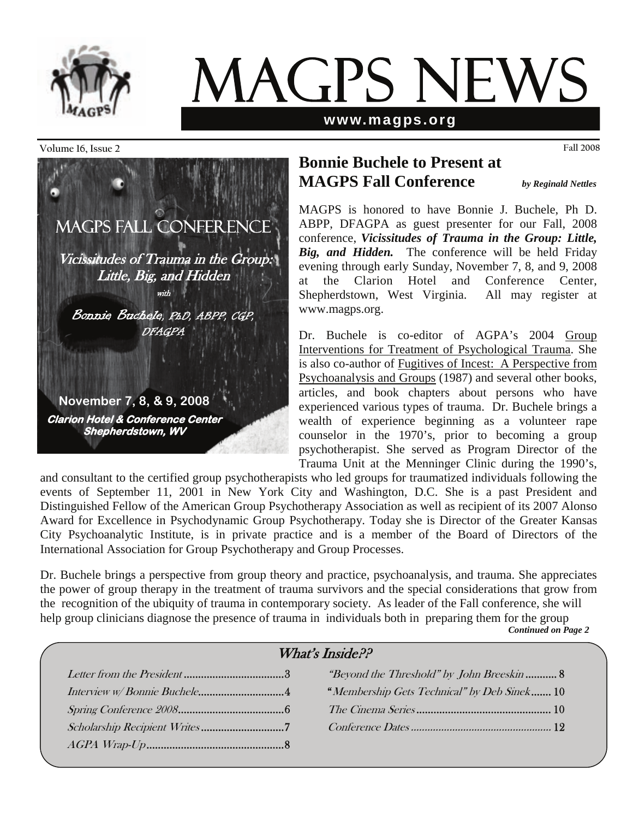

# MAGPS NEWS

#### **www.magps.org**

#### **Volume 16, Issue 2 Fall 2008**



## **Bonnie Buchele to Present at MAGPS Fall Conference** *by Reginald Nettles*

MAGPS is honored to have Bonnie J. Buchele, Ph D. ABPP, DFAGPA as guest presenter for our Fall, 2008 conference, *Vicissitudes of Trauma in the Group: Little, Big, and Hidden.* The conference will be held Friday evening through early Sunday, November 7, 8, and 9, 2008 at the Clarion Hotel and Conference Center, Shepherdstown, West Virginia. All may register at www.magps.org.

Dr. Buchele is co-editor of AGPA's 2004 Group Interventions for Treatment of Psychological Trauma. She is also co-author of Fugitives of Incest: A Perspective from Psychoanalysis and Groups (1987) and several other books, articles, and book chapters about persons who have experienced various types of trauma. Dr. Buchele brings a wealth of experience beginning as a volunteer rape counselor in the 1970's, prior to becoming a group psychotherapist. She served as Program Director of the Trauma Unit at the Menninger Clinic during the 1990's,

and consultant to the certified group psychotherapists who led groups for traumatized individuals following the events of September 11, 2001 in New York City and Washington, D.C. She is a past President and Distinguished Fellow of the American Group Psychotherapy Association as well as recipient of its 2007 Alonso Award for Excellence in Psychodynamic Group Psychotherapy. Today she is Director of the Greater Kansas City Psychoanalytic Institute, is in private practice and is a member of the Board of Directors of the International Association for Group Psychotherapy and Group Processes.

Dr. Buchele brings a perspective from group theory and practice, psychoanalysis, and trauma. She appreciates the power of group therapy in the treatment of trauma survivors and the special considerations that grow from the recognition of the ubiquity of trauma in contemporary society. As leader of the Fall conference, she will help group clinicians diagnose the presence of trauma in individuals both in preparing them for the group *Continued on Page 2*

| What's Inside?? |  |                                                    |  |  |
|-----------------|--|----------------------------------------------------|--|--|
|                 |  | <i>"Beyond the Threshold" by John Breeskin</i> 8   |  |  |
|                 |  | <i>"Membership Gets Technical" by Deb Sinek</i> 10 |  |  |
|                 |  |                                                    |  |  |
|                 |  |                                                    |  |  |
|                 |  |                                                    |  |  |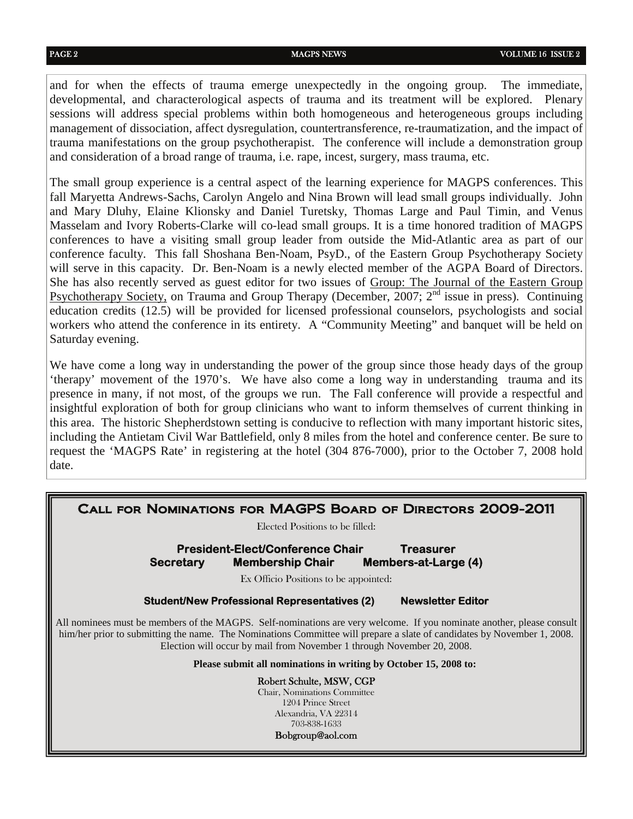and for when the effects of trauma emerge unexpectedly in the ongoing group. The immediate, developmental, and characterological aspects of trauma and its treatment will be explored. Plenary sessions will address special problems within both homogeneous and heterogeneous groups including management of dissociation, affect dysregulation, countertransference, re-traumatization, and the impact of trauma manifestations on the group psychotherapist. The conference will include a demonstration group and consideration of a broad range of trauma, i.e. rape, incest, surgery, mass trauma, etc.

The small group experience is a central aspect of the learning experience for MAGPS conferences. This fall Maryetta Andrews-Sachs, Carolyn Angelo and Nina Brown will lead small groups individually. John and Mary Dluhy, Elaine Klionsky and Daniel Turetsky, Thomas Large and Paul Timin, and Venus Masselam and Ivory Roberts-Clarke will co-lead small groups. It is a time honored tradition of MAGPS conferences to have a visiting small group leader from outside the Mid-Atlantic area as part of our conference faculty. This fall Shoshana Ben-Noam, PsyD., of the Eastern Group Psychotherapy Society will serve in this capacity. Dr. Ben-Noam is a newly elected member of the AGPA Board of Directors. She has also recently served as guest editor for two issues of Group: The Journal of the Eastern Group Psychotherapy Society, on Trauma and Group Therapy (December, 2007;  $2<sup>nd</sup>$  issue in press). Continuing education credits (12.5) will be provided for licensed professional counselors, psychologists and social workers who attend the conference in its entirety. A "Community Meeting" and banquet will be held on Saturday evening.

We have come a long way in understanding the power of the group since those heady days of the group 'therapy' movement of the 1970's. We have also come a long way in understanding trauma and its presence in many, if not most, of the groups we run. The Fall conference will provide a respectful and insightful exploration of both for group clinicians who want to inform themselves of current thinking in this area. The historic Shepherdstown setting is conducive to reflection with many important historic sites, including the Antietam Civil War Battlefield, only 8 miles from the hotel and conference center. Be sure to request the 'MAGPS Rate' in registering at the hotel (304 876-7000), prior to the October 7, 2008 hold date.

| CALL FOR NOMINATIONS FOR MAGPS BOARD OF DIRECTORS 2009-2011<br>Elected Positions to be filled:                                                                                                                                                                                                                             |                                                     |                                                 |  |  |  |
|----------------------------------------------------------------------------------------------------------------------------------------------------------------------------------------------------------------------------------------------------------------------------------------------------------------------------|-----------------------------------------------------|-------------------------------------------------|--|--|--|
| <b>President-Elect/Conference Chair</b>                                                                                                                                                                                                                                                                                    |                                                     |                                                 |  |  |  |
| <b>Secretary</b>                                                                                                                                                                                                                                                                                                           | <b>Membership Chair</b>                             | <b>Treasurer</b><br><b>Members-at-Large (4)</b> |  |  |  |
| Ex Officio Positions to be appointed:                                                                                                                                                                                                                                                                                      |                                                     |                                                 |  |  |  |
|                                                                                                                                                                                                                                                                                                                            | <b>Student/New Professional Representatives (2)</b> | <b>Newsletter Editor</b>                        |  |  |  |
| All nominees must be members of the MAGPS. Self-nominations are very welcome. If you nominate another, please consult<br>him/her prior to submitting the name. The Nominations Committee will prepare a slate of candidates by November 1, 2008.<br>Election will occur by mail from November 1 through November 20, 2008. |                                                     |                                                 |  |  |  |
| Please submit all nominations in writing by October 15, 2008 to:                                                                                                                                                                                                                                                           |                                                     |                                                 |  |  |  |
| Robert Schulte, MSW, CGP<br>Chair, Nominations Committee<br>1204 Prince Street<br>Alexandria, VA 22314<br>703-838-1633<br>Bobgroup@aol.com                                                                                                                                                                                 |                                                     |                                                 |  |  |  |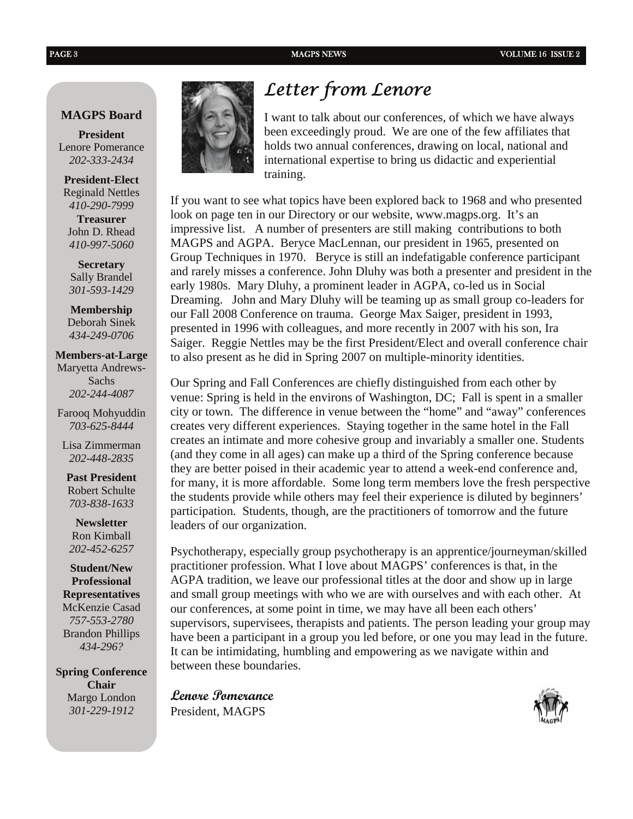#### **MAGPS Board**

**President**  Lenore Pomerance *202-333-2434* 

**President-Elect**  Reginald Nettles *410-290-7999*  **Treasurer** John D. Rhead *410-997-5060* 

**Secretary**  Sally Brandel *301-593-1429*

**Membership**  Deborah Sinek *434-249-0706* 

**Members-at-Large** Maryetta Andrews-Sachs *202-244-4087* 

Farooq Mohyuddin *703-625-8444* 

Lisa Zimmerman *202-448-2835* 

**Past President**  Robert Schulte *703-838-1633*

**Newsletter**  Ron Kimball *202-452-6257*

**Student/New Professional Representatives**  McKenzie Casad *757-553-2780*  Brandon Phillips *434-296?* 

**Spring Conference Chair**  Margo London *301-229-1912* 



## *Letter from Lenore*

I want to talk about our conferences, of which we have always been exceedingly proud. We are one of the few affiliates that holds two annual conferences, drawing on local, national and international expertise to bring us didactic and experiential training.

If you want to see what topics have been explored back to 1968 and who presented look on page ten in our Directory or our website, www.magps.org. It's an impressive list. A number of presenters are still making contributions to both MAGPS and AGPA. Beryce MacLennan, our president in 1965, presented on Group Techniques in 1970. Beryce is still an indefatigable conference participant and rarely misses a conference. John Dluhy was both a presenter and president in the early 1980s. Mary Dluhy, a prominent leader in AGPA, co-led us in Social Dreaming. John and Mary Dluhy will be teaming up as small group co-leaders for our Fall 2008 Conference on trauma. George Max Saiger, president in 1993, presented in 1996 with colleagues, and more recently in 2007 with his son, Ira Saiger. Reggie Nettles may be the first President/Elect and overall conference chair to also present as he did in Spring 2007 on multiple-minority identities.

Our Spring and Fall Conferences are chiefly distinguished from each other by venue: Spring is held in the environs of Washington, DC; Fall is spent in a smaller city or town. The difference in venue between the "home" and "away" conferences creates very different experiences. Staying together in the same hotel in the Fall creates an intimate and more cohesive group and invariably a smaller one. Students (and they come in all ages) can make up a third of the Spring conference because they are better poised in their academic year to attend a week-end conference and, for many, it is more affordable. Some long term members love the fresh perspective the students provide while others may feel their experience is diluted by beginners' participation. Students, though, are the practitioners of tomorrow and the future leaders of our organization.

Psychotherapy, especially group psychotherapy is an apprentice/journeyman/skilled practitioner profession. What I love about MAGPS' conferences is that, in the AGPA tradition, we leave our professional titles at the door and show up in large and small group meetings with who we are with ourselves and with each other. At our conferences, at some point in time, we may have all been each others' supervisors, supervisees, therapists and patients. The person leading your group may have been a participant in a group you led before, or one you may lead in the future. It can be intimidating, humbling and empowering as we navigate within and between these boundaries.

**Lenore Pomerance**  President, MAGPS

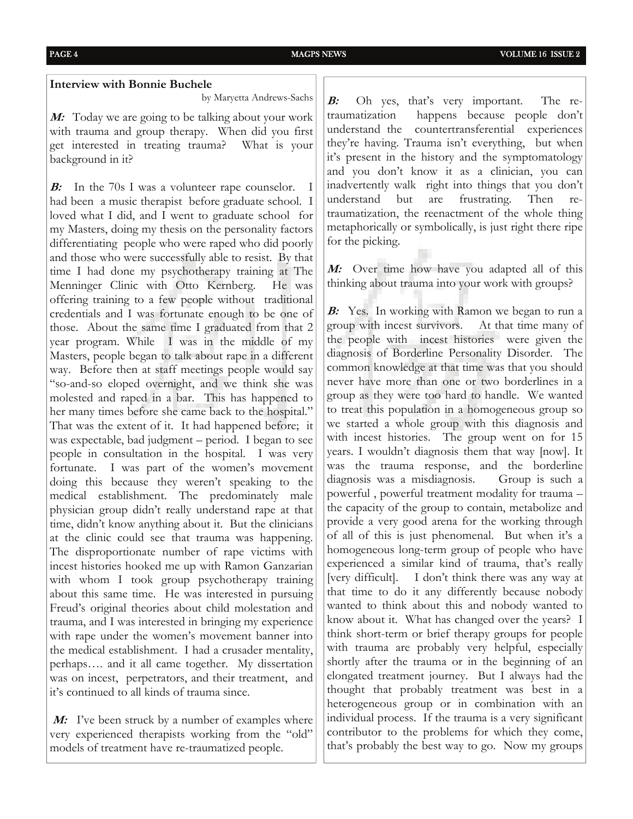#### **Interview with Bonnie Buchele**

by Maryetta Andrews-Sachs

**M:** Today we are going to be talking about your work with trauma and group therapy. When did you first get interested in treating trauma? What is your background in it?

**B:** In the 70s I was a volunteer rape counselor. I had been a music therapist before graduate school. I loved what I did, and I went to graduate school for my Masters, doing my thesis on the personality factors differentiating people who were raped who did poorly and those who were successfully able to resist. By that time I had done my psychotherapy training at The Menninger Clinic with Otto Kernberg. He was offering training to a few people without traditional credentials and I was fortunate enough to be one of those. About the same time I graduated from that 2 year program. While I was in the middle of my Masters, people began to talk about rape in a different way. Before then at staff meetings people would say "so-and-so eloped overnight, and we think she was molested and raped in a bar. This has happened to her many times before she came back to the hospital." That was the extent of it. It had happened before; it was expectable, bad judgment – period. I began to see people in consultation in the hospital. I was very fortunate. I was part of the women's movement doing this because they weren't speaking to the medical establishment. The predominately male physician group didn't really understand rape at that time, didn't know anything about it. But the clinicians at the clinic could see that trauma was happening. The disproportionate number of rape victims with incest histories hooked me up with Ramon Ganzarian with whom I took group psychotherapy training about this same time. He was interested in pursuing Freud's original theories about child molestation and trauma, and I was interested in bringing my experience with rape under the women's movement banner into the medical establishment. I had a crusader mentality, perhaps…. and it all came together. My dissertation was on incest, perpetrators, and their treatment, and it's continued to all kinds of trauma since.

*M:* I've been struck by a number of examples where very experienced therapists working from the "old" models of treatment have re-traumatized people.

**B:** Oh yes, that's very important. The retraumatization happens because people don't understand the countertransferential experiences they're having. Trauma isn't everything, but when it's present in the history and the symptomatology and you don't know it as a clinician, you can inadvertently walk right into things that you don't understand but are frustrating. Then retraumatization, the reenactment of the whole thing metaphorically or symbolically, is just right there ripe for the picking.

**M:** Over time how have you adapted all of this thinking about trauma into your work with groups?

**B:** Yes. In working with Ramon we began to run a group with incest survivors. At that time many of the people with incest histories were given the diagnosis of Borderline Personality Disorder. The common knowledge at that time was that you should never have more than one or two borderlines in a group as they were too hard to handle. We wanted to treat this population in a homogeneous group so we started a whole group with this diagnosis and with incest histories. The group went on for 15 years. I wouldn't diagnosis them that way [now]. It was the trauma response, and the borderline diagnosis was a misdiagnosis. Group is such a powerful , powerful treatment modality for trauma – the capacity of the group to contain, metabolize and provide a very good arena for the working through of all of this is just phenomenal. But when it's a homogeneous long-term group of people who have experienced a similar kind of trauma, that's really [very difficult]. I don't think there was any way at that time to do it any differently because nobody wanted to think about this and nobody wanted to know about it. What has changed over the years? I think short-term or brief therapy groups for people with trauma are probably very helpful, especially shortly after the trauma or in the beginning of an elongated treatment journey. But I always had the thought that probably treatment was best in a heterogeneous group or in combination with an individual process. If the trauma is a very significant contributor to the problems for which they come, that's probably the best way to go. Now my groups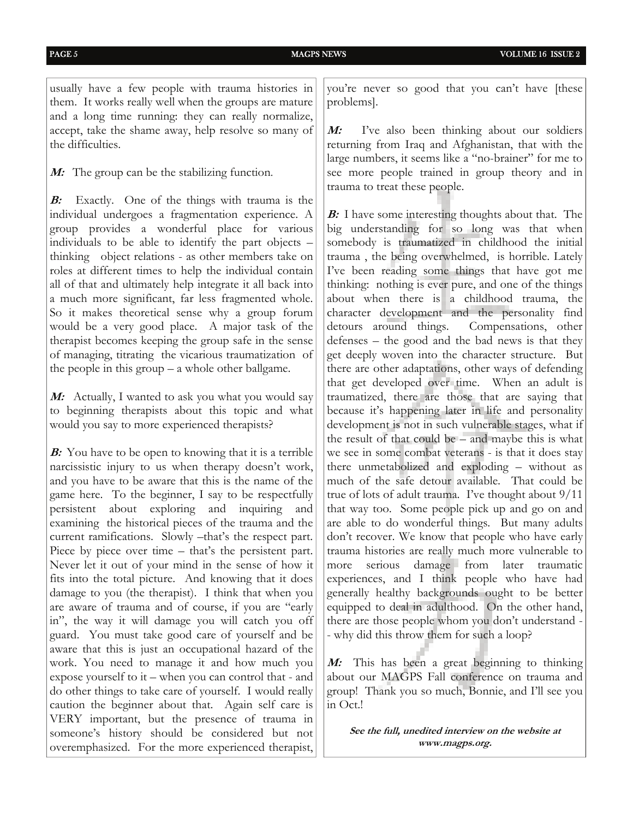usually have a few people with trauma histories in them. It works really well when the groups are mature and a long time running: they can really normalize, accept, take the shame away, help resolve so many of the difficulties.

**M:** The group can be the stabilizing function.

**B:** Exactly. One of the things with trauma is the individual undergoes a fragmentation experience. A group provides a wonderful place for various individuals to be able to identify the part objects – thinking object relations - as other members take on roles at different times to help the individual contain all of that and ultimately help integrate it all back into a much more significant, far less fragmented whole. So it makes theoretical sense why a group forum would be a very good place. A major task of the therapist becomes keeping the group safe in the sense of managing, titrating the vicarious traumatization of the people in this group – a whole other ballgame.

**M:** Actually, I wanted to ask you what you would say to beginning therapists about this topic and what would you say to more experienced therapists?

**B:** You have to be open to knowing that it is a terrible narcissistic injury to us when therapy doesn't work, and you have to be aware that this is the name of the game here. To the beginner, I say to be respectfully persistent about exploring and inquiring and examining the historical pieces of the trauma and the current ramifications. Slowly –that's the respect part. Piece by piece over time – that's the persistent part. Never let it out of your mind in the sense of how it fits into the total picture. And knowing that it does damage to you (the therapist). I think that when you are aware of trauma and of course, if you are "early in", the way it will damage you will catch you off guard. You must take good care of yourself and be aware that this is just an occupational hazard of the work. You need to manage it and how much you expose yourself to it – when you can control that - and do other things to take care of yourself. I would really caution the beginner about that. Again self care is VERY important, but the presence of trauma in someone's history should be considered but not overemphasized. For the more experienced therapist,

you're never so good that you can't have [these problems].

**<sup>M</sup>:** I've also been thinking about our soldiers returning from Iraq and Afghanistan, that with the large numbers, it seems like a "no-brainer" for me to see more people trained in group theory and in trauma to treat these people.

**B:** I have some interesting thoughts about that. The big understanding for so long was that when somebody is traumatized in childhood the initial trauma , the being overwhelmed, is horrible. Lately I've been reading some things that have got me thinking: nothing is ever pure, and one of the things about when there is a childhood trauma, the character development and the personality find detours around things. Compensations, other defenses – the good and the bad news is that they get deeply woven into the character structure. But there are other adaptations, other ways of defending that get developed over time. When an adult is traumatized, there are those that are saying that because it's happening later in life and personality development is not in such vulnerable stages, what if the result of that could be – and maybe this is what we see in some combat veterans - is that it does stay there unmetabolized and exploding – without as much of the safe detour available. That could be true of lots of adult trauma. I've thought about 9/11 that way too. Some people pick up and go on and are able to do wonderful things. But many adults don't recover. We know that people who have early trauma histories are really much more vulnerable to more serious damage from later traumatic experiences, and I think people who have had generally healthy backgrounds ought to be better equipped to deal in adulthood. On the other hand, there are those people whom you don't understand - - why did this throw them for such a loop?

**M:** This has been a great beginning to thinking about our MAGPS Fall conference on trauma and group! Thank you so much, Bonnie, and I'll see you in Oct.!

**See the full, unedited interview on the website at www.magps.org.**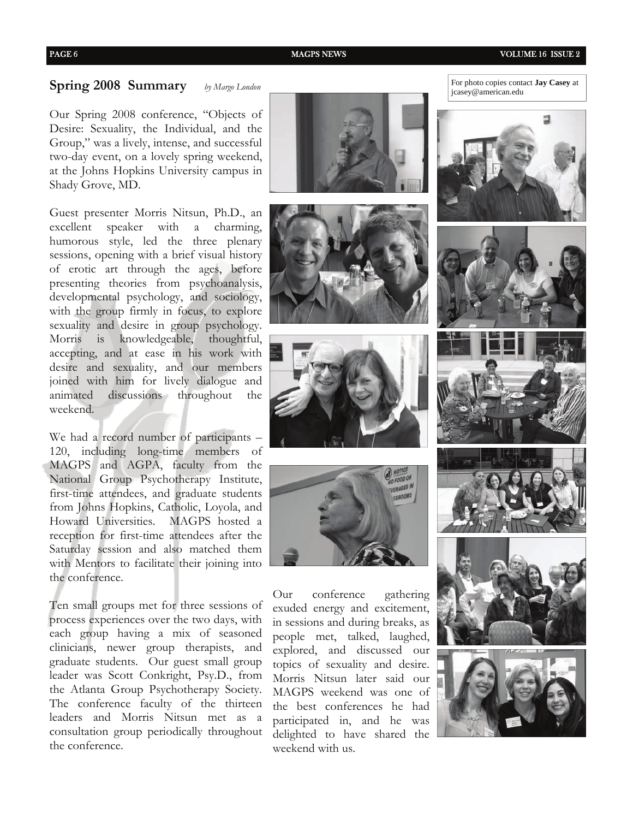#### PAGE 6 8 MAGPS NEWS MAGPS NEWS VOLUME 16 ISSUE 2

**Spring 2008 Summary** *by Margo London*

Our Spring 2008 conference, "Objects of Desire: Sexuality, the Individual, and the Group," was a lively, intense, and successful two-day event, on a lovely spring weekend, at the Johns Hopkins University campus in Shady Grove, MD.

Guest presenter Morris Nitsun, Ph.D., an excellent speaker with a charming, humorous style, led the three plenary sessions, opening with a brief visual history of erotic art through the ages, before presenting theories from psychoanalysis, developmental psychology, and sociology, with the group firmly in focus, to explore sexuality and desire in group psychology. Morris is knowledgeable, thoughtful, accepting, and at ease in his work with desire and sexuality, and our members joined with him for lively dialogue and animated discussions throughout the weekend.

We had a record number of participants – 120, including long-time members of MAGPS and AGPA, faculty from the National Group Psychotherapy Institute, first-time attendees, and graduate students from Johns Hopkins, Catholic, Loyola, and Howard Universities. MAGPS hosted a reception for first-time attendees after the Saturday session and also matched them with Mentors to facilitate their joining into the conference.

Ten small groups met for three sessions of process experiences over the two days, with each group having a mix of seasoned clinicians, newer group therapists, and graduate students. Our guest small group leader was Scott Conkright, Psy.D., from the Atlanta Group Psychotherapy Society. The conference faculty of the thirteen leaders and Morris Nitsun met as a consultation group periodically throughout the conference.







Our conference gathering exuded energy and excitement, in sessions and during breaks, as people met, talked, laughed, explored, and discussed our topics of sexuality and desire. Morris Nitsun later said our MAGPS weekend was one of the best conferences he had participated in, and he was delighted to have shared the weekend with us.

For photo copies contact **Jay Casey** at jcasey@american.edu











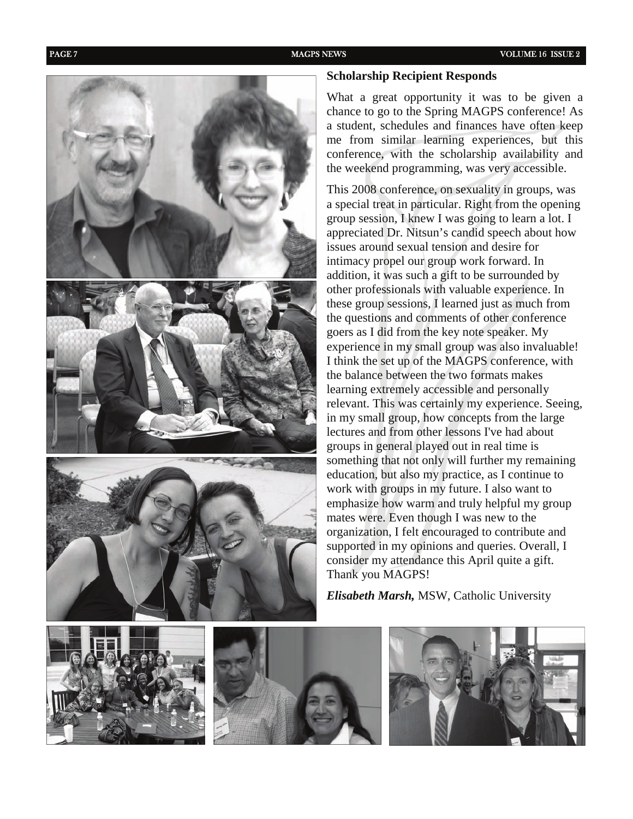

#### **Scholarship Recipient Responds**

What a great opportunity it was to be given a chance to go to the Spring MAGPS conference! As a student, schedules and finances have often keep me from similar learning experiences, but this conference, with the scholarship availability and the weekend programming, was very accessible.

This 2008 conference, on sexuality in groups, was a special treat in particular. Right from the opening group session, I knew I was going to learn a lot. I appreciated Dr. Nitsun's candid speech about how issues around sexual tension and desire for intimacy propel our group work forward. In addition, it was such a gift to be surrounded by other professionals with valuable experience. In these group sessions, I learned just as much from the questions and comments of other conference goers as I did from the key note speaker. My experience in my small group was also invaluable! I think the set up of the MAGPS conference, with the balance between the two formats makes learning extremely accessible and personally relevant. This was certainly my experience. Seeing, in my small group, how concepts from the large lectures and from other lessons I've had about groups in general played out in real time is something that not only will further my remaining education, but also my practice, as I continue to work with groups in my future. I also want to emphasize how warm and truly helpful my group mates were. Even though I was new to the organization, I felt encouraged to contribute and supported in my opinions and queries. Overall, I consider my attendance this April quite a gift. Thank you MAGPS!

*Elisabeth Marsh,* MSW, Catholic University





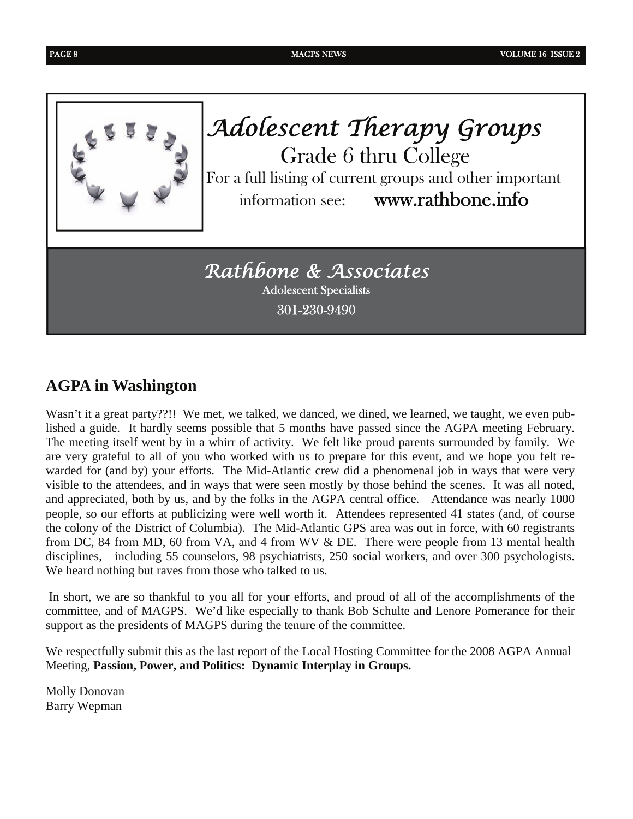

*Adolescent Therapy Groups*  Grade 6 thru College For a full listing of current groups and other important information see: www.rathbone.info

*Rathbone & Associates*  Adolescent Specialists 301-230-9490

## **AGPA in Washington**

Wasn't it a great party??!! We met, we talked, we danced, we dined, we learned, we taught, we even published a guide. It hardly seems possible that 5 months have passed since the AGPA meeting February. The meeting itself went by in a whirr of activity. We felt like proud parents surrounded by family. We are very grateful to all of you who worked with us to prepare for this event, and we hope you felt rewarded for (and by) your efforts. The Mid-Atlantic crew did a phenomenal job in ways that were very visible to the attendees, and in ways that were seen mostly by those behind the scenes. It was all noted, and appreciated, both by us, and by the folks in the AGPA central office. Attendance was nearly 1000 people, so our efforts at publicizing were well worth it. Attendees represented 41 states (and, of course the colony of the District of Columbia). The Mid-Atlantic GPS area was out in force, with 60 registrants from DC, 84 from MD, 60 from VA, and 4 from WV & DE. There were people from 13 mental health disciplines, including 55 counselors, 98 psychiatrists, 250 social workers, and over 300 psychologists. We heard nothing but raves from those who talked to us.

 In short, we are so thankful to you all for your efforts, and proud of all of the accomplishments of the committee, and of MAGPS. We'd like especially to thank Bob Schulte and Lenore Pomerance for their support as the presidents of MAGPS during the tenure of the committee.

We respectfully submit this as the last report of the Local Hosting Committee for the 2008 AGPA Annual Meeting, **Passion, Power, and Politics: Dynamic Interplay in Groups.**

Molly Donovan Barry Wepman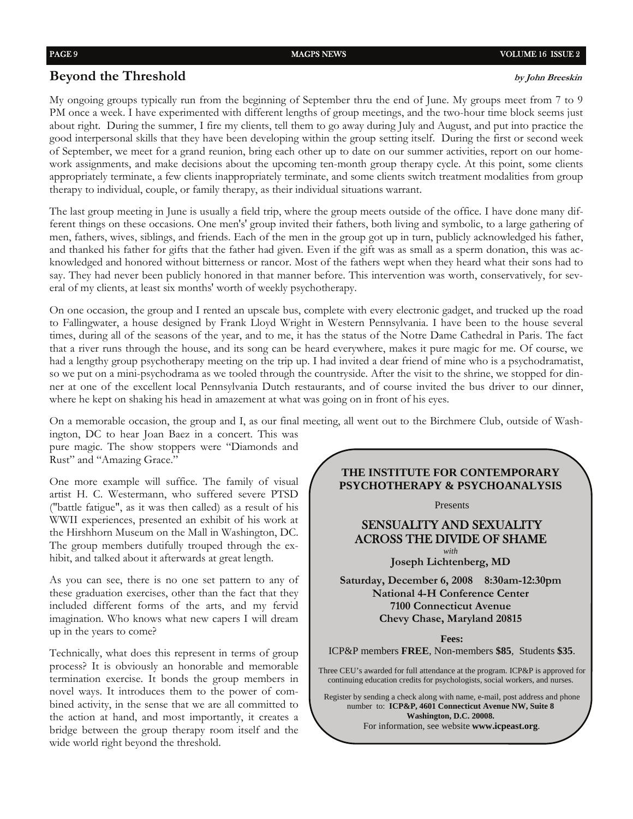#### **Beyond the Threshold by John Breeskin**

My ongoing groups typically run from the beginning of September thru the end of June. My groups meet from 7 to 9 PM once a week. I have experimented with different lengths of group meetings, and the two-hour time block seems just about right. During the summer, I fire my clients, tell them to go away during July and August, and put into practice the good interpersonal skills that they have been developing within the group setting itself. During the first or second week of September, we meet for a grand reunion, bring each other up to date on our summer activities, report on our homework assignments, and make decisions about the upcoming ten-month group therapy cycle. At this point, some clients appropriately terminate, a few clients inappropriately terminate, and some clients switch treatment modalities from group therapy to individual, couple, or family therapy, as their individual situations warrant.

The last group meeting in June is usually a field trip, where the group meets outside of the office. I have done many different things on these occasions. One men's' group invited their fathers, both living and symbolic, to a large gathering of men, fathers, wives, siblings, and friends. Each of the men in the group got up in turn, publicly acknowledged his father, and thanked his father for gifts that the father had given. Even if the gift was as small as a sperm donation, this was acknowledged and honored without bitterness or rancor. Most of the fathers wept when they heard what their sons had to say. They had never been publicly honored in that manner before. This intervention was worth, conservatively, for several of my clients, at least six months' worth of weekly psychotherapy.

On one occasion, the group and I rented an upscale bus, complete with every electronic gadget, and trucked up the road to Fallingwater, a house designed by Frank Lloyd Wright in Western Pennsylvania. I have been to the house several times, during all of the seasons of the year, and to me, it has the status of the Notre Dame Cathedral in Paris. The fact that a river runs through the house, and its song can be heard everywhere, makes it pure magic for me. Of course, we had a lengthy group psychotherapy meeting on the trip up. I had invited a dear friend of mine who is a psychodramatist, so we put on a mini-psychodrama as we tooled through the countryside. After the visit to the shrine, we stopped for dinner at one of the excellent local Pennsylvania Dutch restaurants, and of course invited the bus driver to our dinner, where he kept on shaking his head in amazement at what was going on in front of his eyes.

On a memorable occasion, the group and I, as our final meeting, all went out to the Birchmere Club, outside of Wash-

ington, DC to hear Joan Baez in a concert. This was pure magic. The show stoppers were "Diamonds and Rust" and "Amazing Grace."

One more example will suffice. The family of visual artist H. C. Westermann, who suffered severe PTSD ("battle fatigue", as it was then called) as a result of his WWII experiences, presented an exhibit of his work at the Hirshhorn Museum on the Mall in Washington, DC. The group members dutifully trouped through the exhibit, and talked about it afterwards at great length.

As you can see, there is no one set pattern to any of these graduation exercises, other than the fact that they included different forms of the arts, and my fervid imagination. Who knows what new capers I will dream up in the years to come?

Technically, what does this represent in terms of group process? It is obviously an honorable and memorable termination exercise. It bonds the group members in novel ways. It introduces them to the power of combined activity, in the sense that we are all committed to the action at hand, and most importantly, it creates a bridge between the group therapy room itself and the wide world right beyond the threshold.

**THE INSTITUTE FOR CONTEMPORARY PSYCHOTHERAPY & PSYCHOANALYSIS** 

Presents

#### SENSUALITY AND SEXUALITY ACROSS THE DIVIDE OF SHAME *with*

**Joseph Lichtenberg, MD**

**Saturday, December 6, 2008 8:30am-12:30pm National 4-H Conference Center 7100 Connecticut Avenue Chevy Chase, Maryland 20815** 

**Fees:** 

ICP&P members **FREE**, Non-members **\$85**, Students **\$35**.

Three CEU's awarded for full attendance at the program. ICP&P is approved for continuing education credits for psychologists, social workers, and nurses.

Register by sending a check along with name, e-mail, post address and phone number to: **ICP&P, 4601 Connecticut Avenue NW, Suite 8 Washington, D.C. 20008.**  For information, see website **www.icpeast.org**.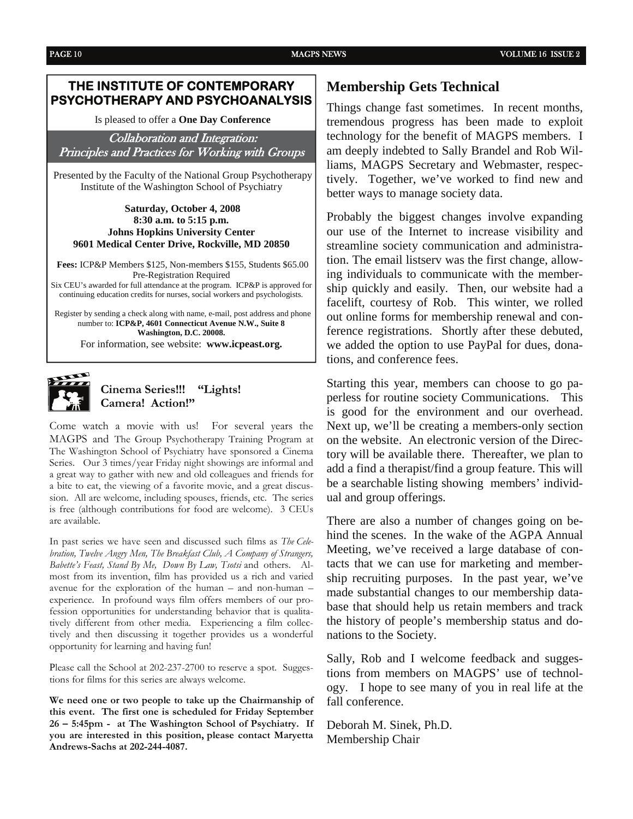#### **THE INSTITUTE OF CONTEMPORARY PSYCHOTHERAPY AND PSYCHOANALYSIS**

Is pleased to offer a **One Day Conference** 

Collaboration and Integration: Principles and Practices for Working with Groups

 Presented by the Faculty of the National Group Psychotherapy Institute of the Washington School of Psychiatry

#### **Saturday, October 4, 2008 8:30 a.m. to 5:15 p.m. Johns Hopkins University Center 9601 Medical Center Drive, Rockville, MD 20850**

**Fees:** ICP&P Members \$125, Non-members \$155, Students \$65.00 Pre-Registration Required Six CEU's awarded for full attendance at the program. ICP&P is approved for continuing education credits for nurses, social workers and psychologists.

Register by sending a check along with name, e-mail, post address and phone number to: **ICP&P, 4601 Connecticut Avenue N.W., Suite 8 Washington, D.C. 20008.**  For information, see website: **www.icpeast.org.**



#### **Cinema Series!!! "Lights! Camera! Action!"**

Come watch a movie with us! For several years the MAGPS and The Group Psychotherapy Training Program at The Washington School of Psychiatry have sponsored a Cinema Series. Our 3 times/year Friday night showings are informal and a great way to gather with new and old colleagues and friends for a bite to eat, the viewing of a favorite movie, and a great discussion. All are welcome, including spouses, friends, etc. The series is free (although contributions for food are welcome). 3 CEUs are available.

In past series we have seen and discussed such films as *The Celebration, Twelve Angry Men, The Breakfast Club, A Company of Strangers, Babette's Feast, Stand By Me, Down By Law, Tsotsi* and others. Almost from its invention, film has provided us a rich and varied avenue for the exploration of the human – and non-human – experience. In profound ways film offers members of our profession opportunities for understanding behavior that is qualitatively different from other media. Experiencing a film collectively and then discussing it together provides us a wonderful opportunity for learning and having fun!

Please call the School at 202-237-2700 to reserve a spot. Suggestions for films for this series are always welcome.

**We need one or two people to take up the Chairmanship of this event. The first one is scheduled for Friday September 26 – 5:45pm - at The Washington School of Psychiatry. If you are interested in this position, please contact Maryetta Andrews-Sachs at 202-244-4087.** 

#### **Membership Gets Technical**

Things change fast sometimes. In recent months, tremendous progress has been made to exploit technology for the benefit of MAGPS members. I am deeply indebted to Sally Brandel and Rob Williams, MAGPS Secretary and Webmaster, respectively. Together, we've worked to find new and better ways to manage society data.

Probably the biggest changes involve expanding our use of the Internet to increase visibility and streamline society communication and administration. The email listserv was the first change, allowing individuals to communicate with the membership quickly and easily. Then, our website had a facelift, courtesy of Rob. This winter, we rolled out online forms for membership renewal and conference registrations. Shortly after these debuted, we added the option to use PayPal for dues, donations, and conference fees.

Starting this year, members can choose to go paperless for routine society Communications. This is good for the environment and our overhead. Next up, we'll be creating a members-only section on the website. An electronic version of the Directory will be available there. Thereafter, we plan to add a find a therapist/find a group feature. This will be a searchable listing showing members' individual and group offerings.

There are also a number of changes going on behind the scenes. In the wake of the AGPA Annual Meeting, we've received a large database of contacts that we can use for marketing and membership recruiting purposes. In the past year, we've made substantial changes to our membership database that should help us retain members and track the history of people's membership status and donations to the Society.

Sally, Rob and I welcome feedback and suggestions from members on MAGPS' use of technology. I hope to see many of you in real life at the fall conference.

Deborah M. Sinek, Ph.D. Membership Chair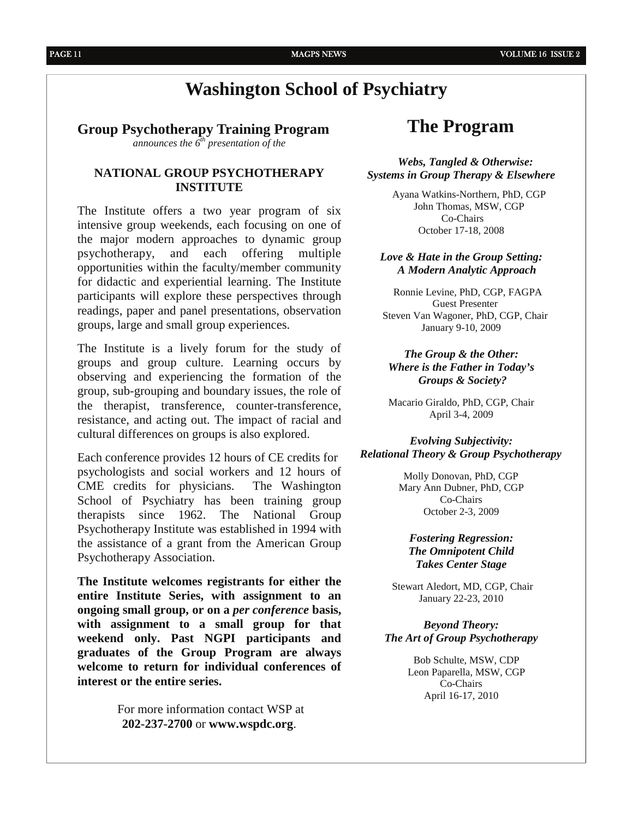## **Washington School of Psychiatry**

#### **Group Psychotherapy Training Program**

*announces the 6th presentation of the*

#### **NATIONAL GROUP PSYCHOTHERAPY INSTITUTE**

The Institute offers a two year program of six intensive group weekends, each focusing on one of the major modern approaches to dynamic group psychotherapy, and each offering multiple opportunities within the faculty/member community for didactic and experiential learning. The Institute participants will explore these perspectives through readings, paper and panel presentations, observation groups, large and small group experiences.

The Institute is a lively forum for the study of groups and group culture. Learning occurs by observing and experiencing the formation of the group, sub-grouping and boundary issues, the role of the therapist, transference, counter-transference, resistance, and acting out. The impact of racial and cultural differences on groups is also explored.

Each conference provides 12 hours of CE credits for psychologists and social workers and 12 hours of CME credits for physicians. The Washington School of Psychiatry has been training group therapists since 1962. The National Group Psychotherapy Institute was established in 1994 with the assistance of a grant from the American Group Psychotherapy Association.

**The Institute welcomes registrants for either the entire Institute Series, with assignment to an ongoing small group, or on a** *per conference* **basis, with assignment to a small group for that weekend only. Past NGPI participants and graduates of the Group Program are always welcome to return for individual conferences of interest or the entire series.** 

> For more information contact WSP at **202-237-2700** or **www.wspdc.org**.

### **The Program**

#### *Webs, Tangled & Otherwise: Systems in Group Therapy & Elsewhere*

 Ayana Watkins-Northern, PhD, CGP John Thomas, MSW, CGP Co-Chairs October 17-18, 2008

#### *Love & Hate in the Group Setting: A Modern Analytic Approach*

 Ronnie Levine, PhD, CGP, FAGPA Guest Presenter Steven Van Wagoner, PhD, CGP, Chair January 9-10, 2009

#### *The Group & the Other: Where is the Father in Today's Groups & Society?*

Macario Giraldo, PhD, CGP, Chair April 3-4, 2009

#### *Evolving Subjectivity: Relational Theory & Group Psychotherapy*

Molly Donovan, PhD, CGP Mary Ann Dubner, PhD, CGP Co-Chairs October 2-3, 2009

#### *Fostering Regression: The Omnipotent Child Takes Center Stage*

 Stewart Aledort, MD, CGP, Chair January 22-23, 2010

#### *Beyond Theory: The Art of Group Psychotherapy*

 Bob Schulte, MSW, CDP Leon Paparella, MSW, CGP Co-Chairs April 16-17, 2010